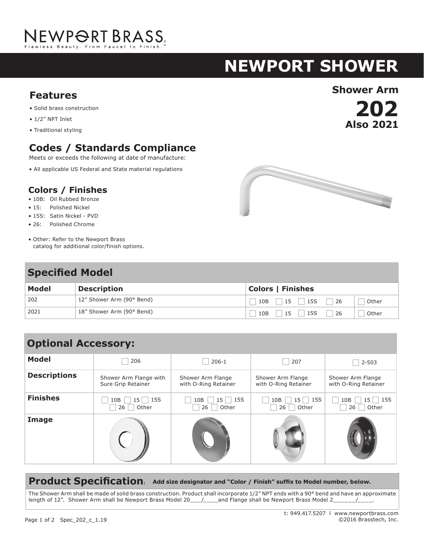# NEWPORT BRASS.

# **NEWPORT shower**

**202**

**Also 2021**

## **Shower Arm Features**

- Solid brass construction
- 1/2" NPT Inlet
- Traditional styling

### **Codes / Standards Compliance**

Meets or exceeds the following at date of manufacture:

• All applicable US Federal and State material regulations

#### **Colors / Finishes**

- 10B: Oil Rubbed Bronze
- 15: Polished Nickel
- 15S: Satin Nickel PVD
- 26: Polished Chrome
- Other: Refer to the Newport Brass catalog for additional color/finish options.

### **Specified Model**

| Model | <b>Description</b>        | <b>Colors   Finishes</b>        |  |  |
|-------|---------------------------|---------------------------------|--|--|
| 202   | 12" Shower Arm (90° Bend) | 15S<br>10B<br>26<br>15<br>Other |  |  |
| 2021  | 18" Shower Arm (90° Bend) | 15S<br>26<br>10B<br>Other<br>15 |  |  |

| <b>Model</b>        | 206                                          | $206-1$                                   | 207                                       | $2 - 503$                                 |
|---------------------|----------------------------------------------|-------------------------------------------|-------------------------------------------|-------------------------------------------|
| <b>Descriptions</b> | Shower Arm Flange with<br>Sure Grip Retainer | Shower Arm Flange<br>with O-Ring Retainer | Shower Arm Flange<br>with O-Ring Retainer | Shower Arm Flange<br>with O-Ring Retainer |
| <b>Finishes</b>     | 15S<br>15 <sup>1</sup><br>10B<br>26<br>Other | $15$   15S<br>10B<br>Other<br>26          | 15S<br>15<br>10B<br>Other<br>26           | <b>15S</b><br>10B<br>15 L<br>Other<br>26  |
| Image               |                                              |                                           |                                           |                                           |

#### **Product Specification: Add size designator and "Color / Finish" suffix to Model number, below.**

The Shower Arm shall be made of solid brass construction. Product shall incorporate 1/2" NPT ends with a 90° bend and have an approximate length of 12". Shower Arm shall be Newport Brass Model 20\_\_/\_\_\_and Flange shall be Newport Brass Model 2\_\_\_\_\_/\_\_\_.